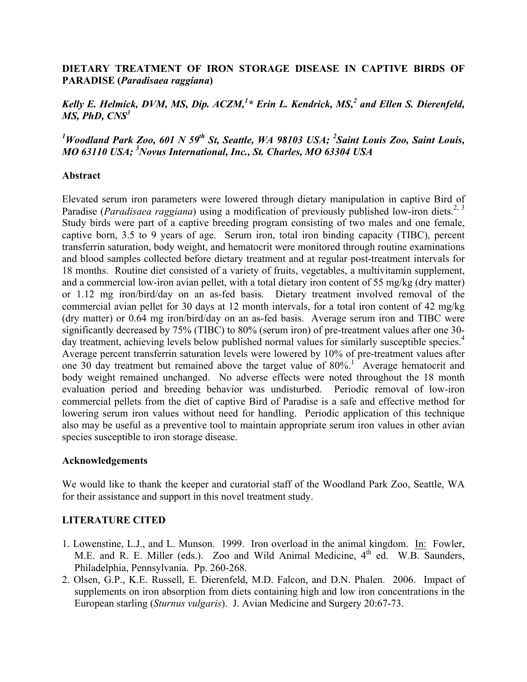# **DIETARY TREATMENT OF IRON STORAGE DISEASE IN CAPTIVE BIRDS OF PARADISE (***Paradisaea raggiana***)**

# Kelly E. Helmick, DVM, MS, Dip.  $ACZM$ ,<sup>1</sup>\* Erin L. Kendrick, MS,<sup>2</sup> and Ellen S. Dierenfeld, *MS, PhD, CNS<sup>3</sup>*

<sup>1</sup>Woodland Park Zoo, 601 N 59<sup>th</sup> St, Seattle, WA 98103 USA; <sup>2</sup>Saint Louis Zoo, Saint Louis, *MO 63110 USA; 3 Novus International, Inc., St. Charles, MO 63304 USA*

### **Abstract**

Elevated serum iron parameters were lowered through dietary manipulation in captive Bird of Paradise (*Paradisaea raggiana*) using a modification of previously published low-iron diets.<sup>2, 3</sup> Study birds were part of a captive breeding program consisting of two males and one female, captive born, 3.5 to 9 years of age. Serum iron, total iron binding capacity (TIBC), percent transferrin saturation, body weight, and hematocrit were monitored through routine examinations and blood samples collected before dietary treatment and at regular post-treatment intervals for 18 months. Routine diet consisted of a variety of fruits, vegetables, a multivitamin supplement, and a commercial low-iron avian pellet, with a total dietary iron content of 55 mg/kg (dry matter) or 1.12 mg iron/bird/day on an as-fed basis. Dietary treatment involved removal of the commercial avian pellet for 30 days at 12 month intervals, for a total iron content of 42 mg/kg (dry matter) or 0.64 mg iron/bird/day on an as-fed basis. Average serum iron and TIBC were significantly decreased by 75% (TIBC) to 80% (serum iron) of pre-treatment values after one 30 day treatment, achieving levels below published normal values for similarly susceptible species.<sup>4</sup> Average percent transferrin saturation levels were lowered by 10% of pre-treatment values after one 30 day treatment but remained above the target value of  $80\%$ <sup>1</sup>. Average hematocrit and body weight remained unchanged. No adverse effects were noted throughout the 18 month evaluation period and breeding behavior was undisturbed. Periodic removal of low-iron commercial pellets from the diet of captive Bird of Paradise is a safe and effective method for lowering serum iron values without need for handling. Periodic application of this technique also may be useful as a preventive tool to maintain appropriate serum iron values in other avian species susceptible to iron storage disease.

#### **Acknowledgements**

We would like to thank the keeper and curatorial staff of the Woodland Park Zoo, Seattle, WA for their assistance and support in this novel treatment study.

# **LITERATURE CITED**

- 1. Lowenstine, L.J., and L. Munson. 1999. Iron overload in the animal kingdom. In: Fowler, M.E. and R. E. Miller (eds.). Zoo and Wild Animal Medicine, 4<sup>th</sup> ed. W.B. Saunders, Philadelphia, Pennsylvania. Pp. 260-268.
- 2. Olsen, G.P., K.E. Russell, E. Dierenfeld, M.D. Falcon, and D.N. Phalen. 2006. Impact of supplements on iron absorption from diets containing high and low iron concentrations in the European starling (*Sturnus vulgaris*). J. Avian Medicine and Surgery 20:67-73.